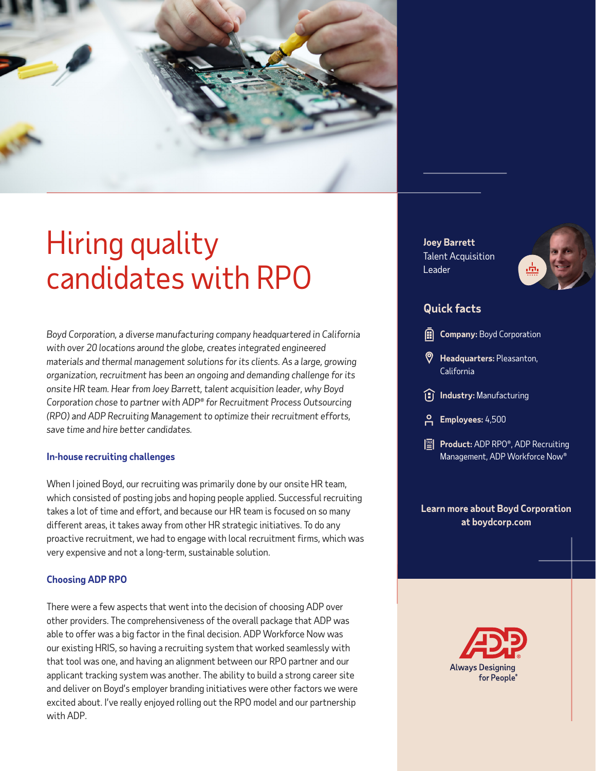

# Hiring quality candidates with RPO

*Boyd Corporation, a diverse manufacturing company headquartered in California with over 20 locations around the globe, creates integrated engineered materials and thermal management solutions for its clients. As a large, growing organization, recruitment has been an ongoing and demanding challenge for its onsite HR team. Hear from Joey Barrett, talent acquisition leader, why Boyd Corporation chose to partner with ADP® for Recruitment Process Outsourcing (RPO) and ADP Recruiting Management to optimize their recruitment efforts, save time and hire better candidates.*

#### **In-house recruiting challenges**

When I joined Boyd, our recruiting was primarily done by our onsite HR team, which consisted of posting jobs and hoping people applied. Successful recruiting takes a lot of time and effort, and because our HR team is focused on so many different areas, it takes away from other HR strategic initiatives. To do any proactive recruitment, we had to engage with local recruitment firms, which was very expensive and not a long-term, sustainable solution.

#### **Choosing ADP RPO**

There were a few aspects that went into the decision of choosing ADP over other providers. The comprehensiveness of the overall package that ADP was able to offer was a big factor in the final decision. ADP Workforce Now was our existing HRIS, so having a recruiting system that worked seamlessly with that tool was one, and having an alignment between our RPO partner and our applicant tracking system was another. The ability to build a strong career site and deliver on Boyd's employer branding initiatives were other factors we were excited about. I've really enjoyed rolling out the RPO model and our partnership with ADP.

**Joey Barrett** Talent Acquisition Leader



### **Quick facts**

- **Headquarters:** Pleasanton, California
- **Industry:** Manufacturing
- **Employees:** 4,500
- **Product:** ADP RPO®, ADP Recruiting Management, ADP Workforce Now®

#### **Learn more about Boyd Corporation at [boydcorp.com](https://www.boydcorp.com/)**

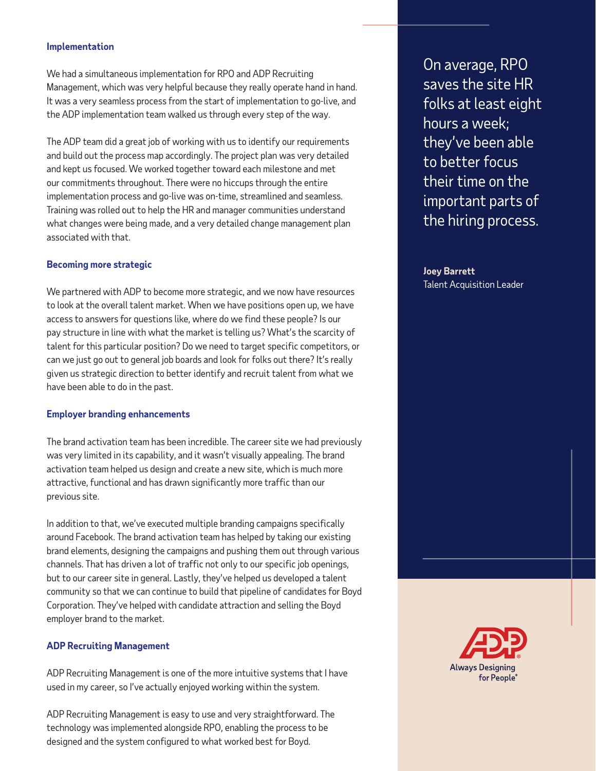#### **Implementation**

We had a simultaneous implementation for RPO and ADP Recruiting Management, which was very helpful because they really operate hand in hand. It was a very seamless process from the start of implementation to go-live, and the ADP implementation team walked us through every step of the way.

The ADP team did a great job of working with us to identify our requirements and build out the process map accordingly. The project plan was very detailed and kept us focused. We worked together toward each milestone and met our commitments throughout. There were no hiccups through the entire implementation process and go-live was on-time, streamlined and seamless. Training was rolled out to help the HR and manager communities understand what changes were being made, and a very detailed change management plan associated with that.

#### **Becoming more strategic**

We partnered with ADP to become more strategic, and we now have resources to look at the overall talent market. When we have positions open up, we have access to answers for questions like, where do we find these people? Is our pay structure in line with what the market is telling us? What's the scarcity of talent for this particular position? Do we need to target specific competitors, or can we just go out to general job boards and look for folks out there? It's really given us strategic direction to better identify and recruit talent from what we have been able to do in the past.

#### **Employer branding enhancements**

The brand activation team has been incredible. The career site we had previously was very limited in its capability, and it wasn't visually appealing. The brand activation team helped us design and create a new site, which is much more attractive, functional and has drawn significantly more traffic than our previous site.

In addition to that, we've executed multiple branding campaigns specifically around Facebook. The brand activation team has helped by taking our existing brand elements, designing the campaigns and pushing them out through various channels. That has driven a lot of traffic not only to our specific job openings, but to our career site in general. Lastly, they've helped us developed a talent community so that we can continue to build that pipeline of candidates for Boyd Corporation. They've helped with candidate attraction and selling the Boyd employer brand to the market.

#### **ADP Recruiting Management**

ADP Recruiting Management is one of the more intuitive systems that I have used in my career, so I've actually enjoyed working within the system.

ADP Recruiting Management is easy to use and very straightforward. The technology was implemented alongside RPO, enabling the process to be designed and the system configured to what worked best for Boyd.

On average, RPO saves the site HR folks at least eight hours a week; they've been able to better focus their time on the important parts of the hiring process.

**Joey Barrett** Talent Acquisition Leader

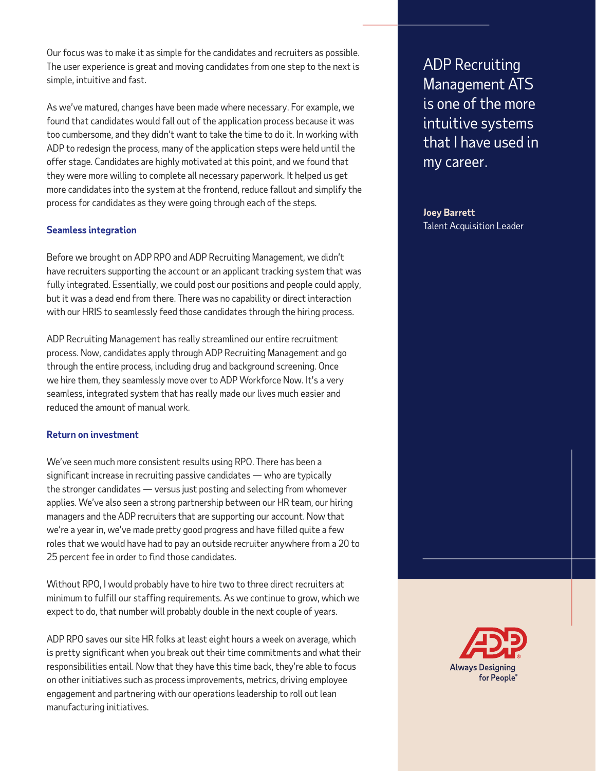Our focus was to make it as simple for the candidates and recruiters as possible. The user experience is great and moving candidates from one step to the next is simple, intuitive and fast.

As we've matured, changes have been made where necessary. For example, we found that candidates would fall out of the application process because it was too cumbersome, and they didn't want to take the time to do it. In working with ADP to redesign the process, many of the application steps were held until the offer stage. Candidates are highly motivated at this point, and we found that they were more willing to complete all necessary paperwork. It helped us get more candidates into the system at the frontend, reduce fallout and simplify the process for candidates as they were going through each of the steps.

#### **Seamless integration**

Before we brought on ADP RPO and ADP Recruiting Management, we didn't have recruiters supporting the account or an applicant tracking system that was fully integrated. Essentially, we could post our positions and people could apply, but it was a dead end from there. There was no capability or direct interaction with our HRIS to seamlessly feed those candidates through the hiring process.

ADP Recruiting Management has really streamlined our entire recruitment process. Now, candidates apply through ADP Recruiting Management and go through the entire process, including drug and background screening. Once we hire them, they seamlessly move over to ADP Workforce Now. It's a very seamless, integrated system that has really made our lives much easier and reduced the amount of manual work.

#### **Return on investment**

We've seen much more consistent results using RPO. There has been a significant increase in recruiting passive candidates — who are typically the stronger candidates — versus just posting and selecting from whomever applies. We've also seen a strong partnership between our HR team, our hiring managers and the ADP recruiters that are supporting our account. Now that we're a year in, we've made pretty good progress and have filled quite a few roles that we would have had to pay an outside recruiter anywhere from a 20 to 25 percent fee in order to find those candidates.

Without RPO, I would probably have to hire two to three direct recruiters at minimum to fulfill our staffing requirements. As we continue to grow, which we expect to do, that number will probably double in the next couple of years.

ADP RPO saves our site HR folks at least eight hours a week on average, which is pretty significant when you break out their time commitments and what their responsibilities entail. Now that they have this time back, they're able to focus on other initiatives such as process improvements, metrics, driving employee engagement and partnering with our operations leadership to roll out lean manufacturing initiatives.

ADP Recruiting Management ATS is one of the more intuitive systems that I have used in my career.

**Joey Barrett** Talent Acquisition Leader